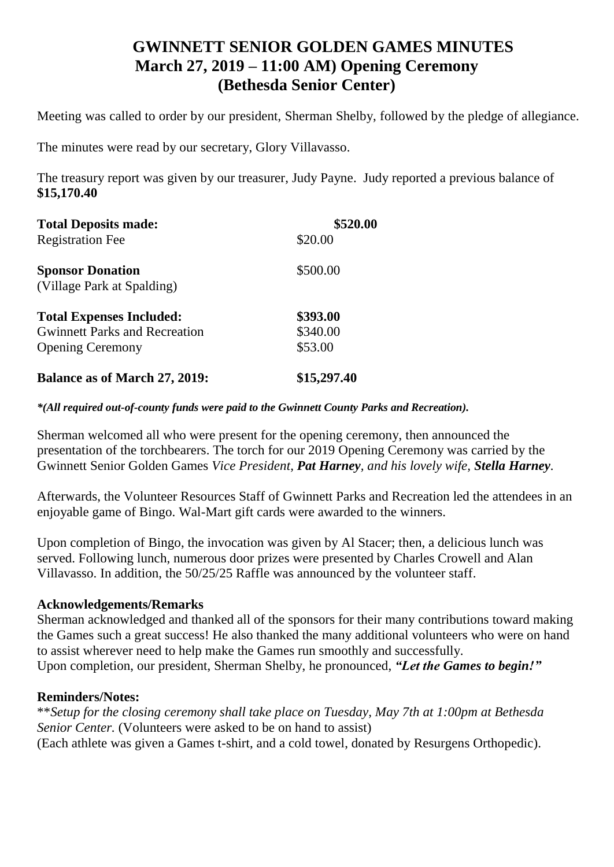## **GWINNETT SENIOR GOLDEN GAMES MINUTES March 27, 2019 – 11:00 AM) Opening Ceremony (Bethesda Senior Center)**

Meeting was called to order by our president, Sherman Shelby, followed by the pledge of allegiance.

The minutes were read by our secretary, Glory Villavasso.

The treasury report was given by our treasurer, Judy Payne. Judy reported a previous balance of **\$15,170.40**

| <b>Total Deposits made:</b>          | \$520.00    |
|--------------------------------------|-------------|
| <b>Registration Fee</b>              | \$20.00     |
| <b>Sponsor Donation</b>              | \$500.00    |
| (Village Park at Spalding)           |             |
| <b>Total Expenses Included:</b>      | \$393.00    |
| <b>Gwinnett Parks and Recreation</b> | \$340.00    |
| <b>Opening Ceremony</b>              | \$53.00     |
| <b>Balance as of March 27, 2019:</b> | \$15,297.40 |

*\*(All required out-of-county funds were paid to the Gwinnett County Parks and Recreation).*

Sherman welcomed all who were present for the opening ceremony, then announced the presentation of the torchbearers. The torch for our 2019 Opening Ceremony was carried by the Gwinnett Senior Golden Games *Vice President, Pat Harney, and his lovely wife, Stella Harney.*

Afterwards, the Volunteer Resources Staff of Gwinnett Parks and Recreation led the attendees in an enjoyable game of Bingo. Wal-Mart gift cards were awarded to the winners.

Upon completion of Bingo, the invocation was given by Al Stacer; then, a delicious lunch was served. Following lunch, numerous door prizes were presented by Charles Crowell and Alan Villavasso. In addition, the 50/25/25 Raffle was announced by the volunteer staff.

## **Acknowledgements/Remarks**

Sherman acknowledged and thanked all of the sponsors for their many contributions toward making the Games such a great success! He also thanked the many additional volunteers who were on hand to assist wherever need to help make the Games run smoothly and successfully.

Upon completion, our president, Sherman Shelby, he pronounced, *"Let the Games to begin!"*

## **Reminders/Notes:**

\*\**Setup for the closing ceremony shall take place on Tuesday, May 7th at 1:00pm at Bethesda Senior Center.* (Volunteers were asked to be on hand to assist) (Each athlete was given a Games t-shirt, and a cold towel, donated by Resurgens Orthopedic).